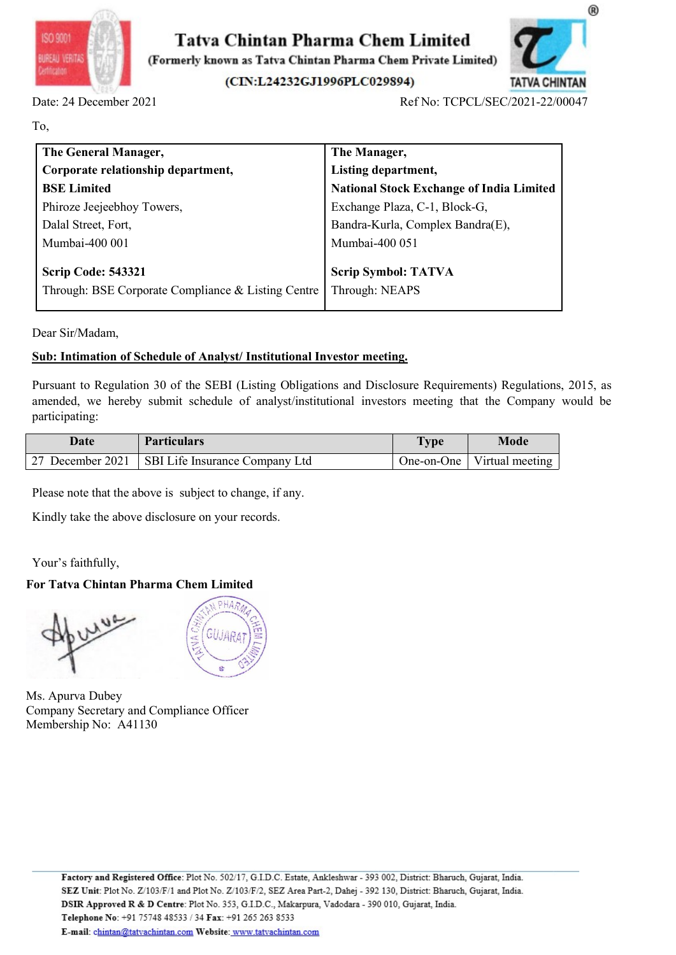



| (CIN:L24232GJ1996PLC029894)        |                                                                                                                                          | <b>TATVA CHINTAN</b><br>Ref No: TCPCL/SEC/2021-22/00047                                                                                                                                                                                                                                                                                                                                                                                                      |
|------------------------------------|------------------------------------------------------------------------------------------------------------------------------------------|--------------------------------------------------------------------------------------------------------------------------------------------------------------------------------------------------------------------------------------------------------------------------------------------------------------------------------------------------------------------------------------------------------------------------------------------------------------|
|                                    |                                                                                                                                          |                                                                                                                                                                                                                                                                                                                                                                                                                                                              |
|                                    |                                                                                                                                          |                                                                                                                                                                                                                                                                                                                                                                                                                                                              |
|                                    | The Manager,                                                                                                                             |                                                                                                                                                                                                                                                                                                                                                                                                                                                              |
| Corporate relationship department, | Listing department,                                                                                                                      |                                                                                                                                                                                                                                                                                                                                                                                                                                                              |
|                                    |                                                                                                                                          |                                                                                                                                                                                                                                                                                                                                                                                                                                                              |
|                                    |                                                                                                                                          |                                                                                                                                                                                                                                                                                                                                                                                                                                                              |
|                                    |                                                                                                                                          |                                                                                                                                                                                                                                                                                                                                                                                                                                                              |
|                                    |                                                                                                                                          |                                                                                                                                                                                                                                                                                                                                                                                                                                                              |
|                                    |                                                                                                                                          |                                                                                                                                                                                                                                                                                                                                                                                                                                                              |
|                                    | <b>Scrip Symbol: TATVA</b>                                                                                                               |                                                                                                                                                                                                                                                                                                                                                                                                                                                              |
|                                    | Through: NEAPS                                                                                                                           |                                                                                                                                                                                                                                                                                                                                                                                                                                                              |
|                                    |                                                                                                                                          |                                                                                                                                                                                                                                                                                                                                                                                                                                                              |
|                                    |                                                                                                                                          |                                                                                                                                                                                                                                                                                                                                                                                                                                                              |
|                                    |                                                                                                                                          |                                                                                                                                                                                                                                                                                                                                                                                                                                                              |
|                                    |                                                                                                                                          |                                                                                                                                                                                                                                                                                                                                                                                                                                                              |
|                                    |                                                                                                                                          | <b>Mode</b>                                                                                                                                                                                                                                                                                                                                                                                                                                                  |
|                                    | One-on-One                                                                                                                               | Virtual meeting                                                                                                                                                                                                                                                                                                                                                                                                                                              |
|                                    | Phiroze Jeejeebhoy Towers,<br>Through: BSE Corporate Compliance & Listing Centre<br><b>Particulars</b><br>SBI Life Insurance Company Ltd | <b>National Stock Exchange of India Limited</b><br>Exchange Plaza, C-1, Block-G,<br>Bandra-Kurla, Complex Bandra(E),<br>Mumbai-400 051<br>Sub: Intimation of Schedule of Analyst/ Institutional Investor meeting.<br>Pursuant to Regulation 30 of the SEBI (Listing Obligations and Disclosure Requirements) Regulations, 2015, as<br>amended, we hereby submit schedule of analyst/institutional investors meeting that the Company would be<br><b>Type</b> |

participating: Scrip Code: 543321<br>
Through: BSE Corporate Compliance & Listing Centre Through: NEAPS<br>
Dear Sir/Madam,<br>
Sub: Intimation of Schedule of Analyst/ Institutional Investor meeting.<br>
Pursuant to Regulation 30 of the SEBI (Listi For Sirifully<br>
For Tarty Chinese Complainte & Elsing Centre | Infolger: NEAF's<br>
Dear Sir/Madam,<br>
Sub: Intimation of Schedule of Analyst/Institutional Investor meeting.<br>
Pursuant to Regulation 30 of the SEBI (Listing Obliga

| <b>Date</b>                               | <b>Particulars</b>                                                                                            | <b>Type</b> | <b>Mode</b>     |
|-------------------------------------------|---------------------------------------------------------------------------------------------------------------|-------------|-----------------|
| 27 December 2021                          | SBI Life Insurance Company Ltd                                                                                | One-on-One  | Virtual meeting |
|                                           | Please note that the above is subject to change, if any.<br>Kindly take the above disclosure on your records. |             |                 |
| Your's faithfully,                        |                                                                                                               |             |                 |
|                                           | For Tatva Chintan Pharma Chem Limited                                                                         |             |                 |
|                                           | 三百                                                                                                            |             |                 |
| Ms. Apurva Dubey<br>Membership No: A41130 | Company Secretary and Compliance Officer                                                                      |             |                 |



Membership No: A41130